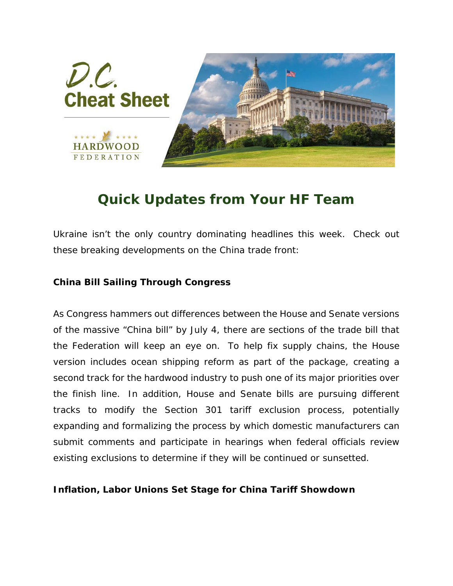

## *Quick Updates from Your HF Team*

*Ukraine isn't the only country dominating headlines this week. Check out these breaking developments on the China trade front:*

## **China Bill Sailing Through Congress**

As Congress hammers out differences between the House and Senate versions of the massive "China bill" by July 4, there are sections of the trade bill that the Federation will keep an eye on. To help fix supply chains, the House version includes ocean shipping reform as part of the package, creating a second track for the hardwood industry to push one of its major priorities over the finish line. In addition, House and Senate bills are pursuing different tracks to modify the Section 301 tariff exclusion process, potentially expanding and formalizing the process by which domestic manufacturers can submit comments and participate in hearings when federal officials review existing exclusions to determine if they will be continued or sunsetted.

## **Inflation, Labor Unions Set Stage for China Tariff Showdown**